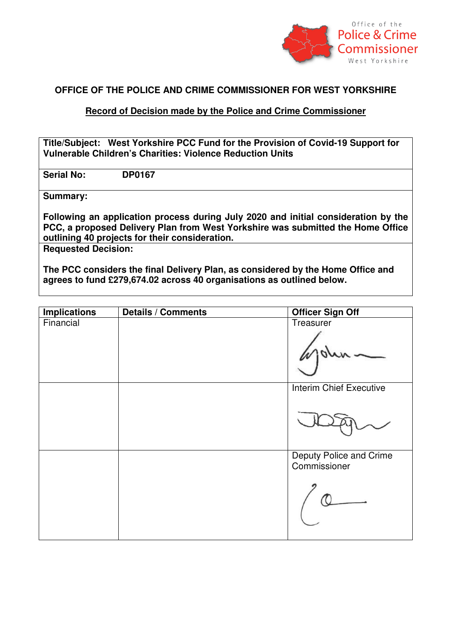

## **OFFICE OF THE POLICE AND CRIME COMMISSIONER FOR WEST YORKSHIRE**

## **Record of Decision made by the Police and Crime Commissioner**

**Title/Subject: West Yorkshire PCC Fund for the Provision of Covid-19 Support for Vulnerable Children's Charities: Violence Reduction Units**

**Serial No: DP0167**

**Summary:** 

**Following an application process during July 2020 and initial consideration by the PCC, a proposed Delivery Plan from West Yorkshire was submitted the Home Office outlining 40 projects for their consideration.** 

**Requested Decision:** 

**The PCC considers the final Delivery Plan, as considered by the Home Office and agrees to fund £279,674.02 across 40 organisations as outlined below.** 

| <b>Implications</b> | Details / Comments | <b>Officer Sign Off</b>                 |
|---------------------|--------------------|-----------------------------------------|
| Financial           |                    | Treasurer                               |
|                     |                    |                                         |
|                     |                    |                                         |
|                     |                    |                                         |
|                     |                    | <b>Interim Chief Executive</b>          |
|                     |                    |                                         |
|                     |                    |                                         |
|                     |                    | Deputy Police and Crime<br>Commissioner |
|                     |                    |                                         |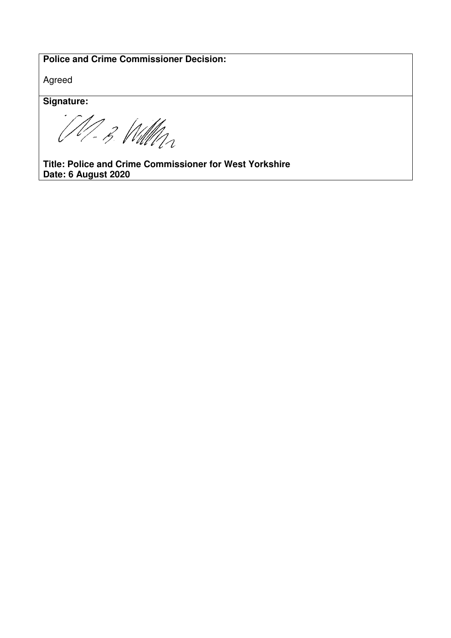## **Police and Crime Commissioner Decision:**

Agreed

**Signature:** 

M-B William

**Title: Police and Crime Commissioner for West Yorkshire Date: 6 August 2020**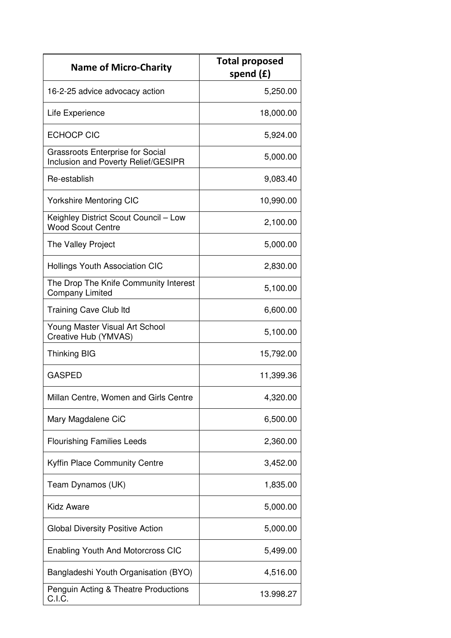| <b>Name of Micro-Charity</b>                                                   | <b>Total proposed</b><br>spend $(f)$ |
|--------------------------------------------------------------------------------|--------------------------------------|
| 16-2-25 advice advocacy action                                                 | 5,250.00                             |
| Life Experience                                                                | 18,000.00                            |
| <b>ECHOCP CIC</b>                                                              | 5,924.00                             |
| <b>Grassroots Enterprise for Social</b><br>Inclusion and Poverty Relief/GESIPR | 5,000.00                             |
| Re-establish                                                                   | 9,083.40                             |
| <b>Yorkshire Mentoring CIC</b>                                                 | 10,990.00                            |
| Keighley District Scout Council - Low<br><b>Wood Scout Centre</b>              | 2,100.00                             |
| The Valley Project                                                             | 5,000.00                             |
| <b>Hollings Youth Association CIC</b>                                          | 2,830.00                             |
| The Drop The Knife Community Interest<br><b>Company Limited</b>                | 5,100.00                             |
| <b>Training Cave Club Itd</b>                                                  | 6,600.00                             |
| Young Master Visual Art School<br>Creative Hub (YMVAS)                         | 5,100.00                             |
| <b>Thinking BIG</b>                                                            | 15,792.00                            |
| <b>GASPED</b>                                                                  | 11,399.36                            |
| Millan Centre, Women and Girls Centre                                          | 4,320.00                             |
| Mary Magdalene CiC                                                             | 6,500.00                             |
| <b>Flourishing Families Leeds</b>                                              | 2,360.00                             |
| <b>Kyffin Place Community Centre</b>                                           | 3,452.00                             |
| Team Dynamos (UK)                                                              | 1,835.00                             |
| <b>Kidz Aware</b>                                                              | 5,000.00                             |
| <b>Global Diversity Positive Action</b>                                        | 5,000.00                             |
| <b>Enabling Youth And Motorcross CIC</b>                                       | 5,499.00                             |
| Bangladeshi Youth Organisation (BYO)                                           | 4,516.00                             |
| Penguin Acting & Theatre Productions<br>C.I.C.                                 | 13.998.27                            |